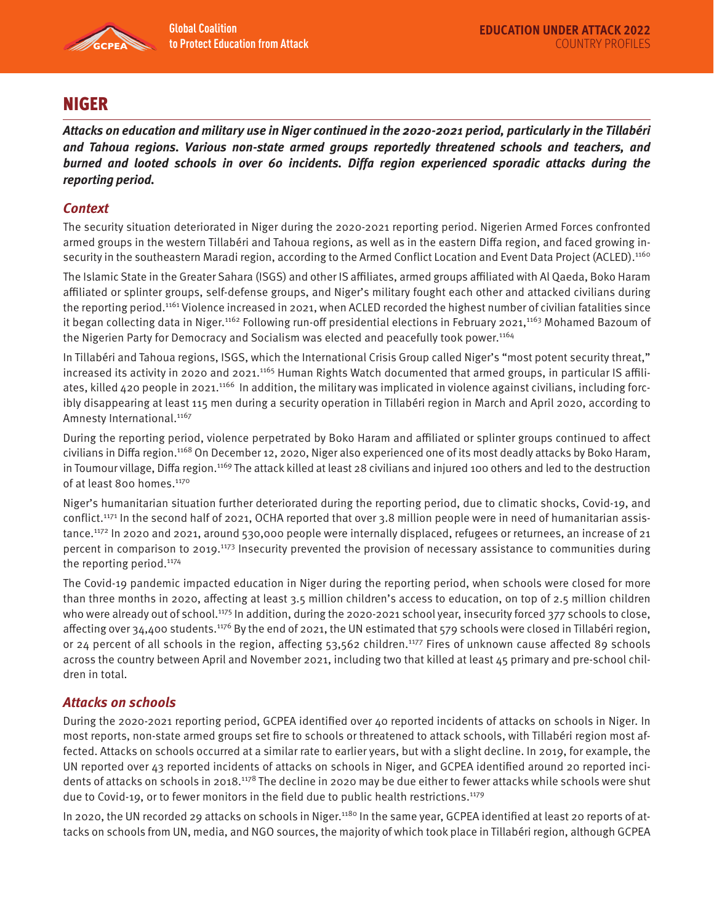

# NIGER

**Attacks on education and military use in Niger continued in the 2020-2021 period, particularly in the Tillabéri and Tahoua regions. Various non-state armed groups reportedly threatened schools and teachers, and burned and looted schools in over 60 incidents. Diffa region experienced sporadic attacks during the reporting period.** 

## **Context**

The security situation deteriorated in Niger during the 2020-2021 reporting period. Nigerien Armed Forces confronted armed groups in the western Tillabéri and Tahoua regions, as well as in the eastern Diffa region, and faced growing insecurity in the southeastern Maradi region, according to the Armed Conflict Location and Event Data Project (ACLED).<sup>1160</sup>

The Islamic State in the Greater Sahara (ISGS) and other IS affiliates, armed groups affiliated with Al Qaeda, Boko Haram affiliated or splinter groups, self-defense groups, and Niger's military fought each other and attacked civilians during the reporting period.<sup>1161</sup> Violence increased in 2021, when ACLED recorded the highest number of civilian fatalities since it began collecting data in Niger.<sup>1162</sup> Following run-off presidential elections in February 2021,<sup>1163</sup> Mohamed Bazoum of the Nigerien Party for Democracy and Socialism was elected and peacefully took power.<sup>1164</sup>

In Tillabéri and Tahoua regions, ISGS, which the International Crisis Group called Niger's "most potent security threat," increased its activity in 2020 and 2021.<sup>1165</sup> Human Rights Watch documented that armed groups, in particular IS affiliates, killed 420 people in 2021.<sup>1166</sup> In addition, the military was implicated in violence against civilians, including forcibly disappearing at least 115 men during a security operation in Tillabéri region in March and April 2020, according to Amnesty International.<sup>1167</sup>

During the reporting period, violence perpetrated by Boko Haram and affiliated or splinter groups continued to affect civilians in Diffa region.1168 On December 12, 2020, Niger also experienced one of its most deadly attacks by Boko Haram, in Toumour village, Diffa region.<sup>1169</sup> The attack killed at least 28 civilians and injured 100 others and led to the destruction of at least 800 homes.<sup>1170</sup>

Niger's humanitarian situation further deteriorated during the reporting period, due to climatic shocks, Covid-19, and conflict.<sup>1171</sup> In the second half of 2021, OCHA reported that over 3.8 million people were in need of humanitarian assistance.<sup>1172</sup> In 2020 and 2021, around 530,000 people were internally displaced, refugees or returnees, an increase of 21 percent in comparison to 2019.<sup>1173</sup> Insecurity prevented the provision of necessary assistance to communities during the reporting period.<sup>1174</sup>

The Covid-19 pandemic impacted education in Niger during the reporting period, when schools were closed for more than three months in 2020, affecting at least 3.5 million children's access to education, on top of 2.5 million children who were already out of school.<sup>1175</sup> In addition, during the 2020-2021 school year, insecurity forced 377 schools to close, affecting over 34,400 students.<sup>1176</sup> By the end of 2021, the UN estimated that 579 schools were closed in Tillabéri region, or 24 percent of all schools in the region, affecting 53,562 children.1177 Fires of unknown cause affected 89 schools across the country between April and November 2021, including two that killed at least 45 primary and pre-school children in total.

### **Attacks on schools**

During the 2020-2021 reporting period, GCPEA identified over 40 reported incidents of attacks on schools in Niger. In most reports, non-state armed groups set fire to schools or threatened to attack schools, with Tillabéri region most affected. Attacks on schools occurred at a similar rate to earlier years, but with a slight decline. In 2019, for example, the UN reported over 43 reported incidents of attacks on schools in Niger, and GCPEA identified around 20 reported incidents of attacks on schools in 2018.<sup>1178</sup> The decline in 2020 may be due either to fewer attacks while schools were shut due to Covid-19, or to fewer monitors in the field due to public health restrictions.1179

In 2020, the UN recorded 29 attacks on schools in Niger.<sup>1180</sup> In the same year, GCPEA identified at least 20 reports of attacks on schools from UN, media, and NGO sources, the majority of which took place in Tillabéri region, although GCPEA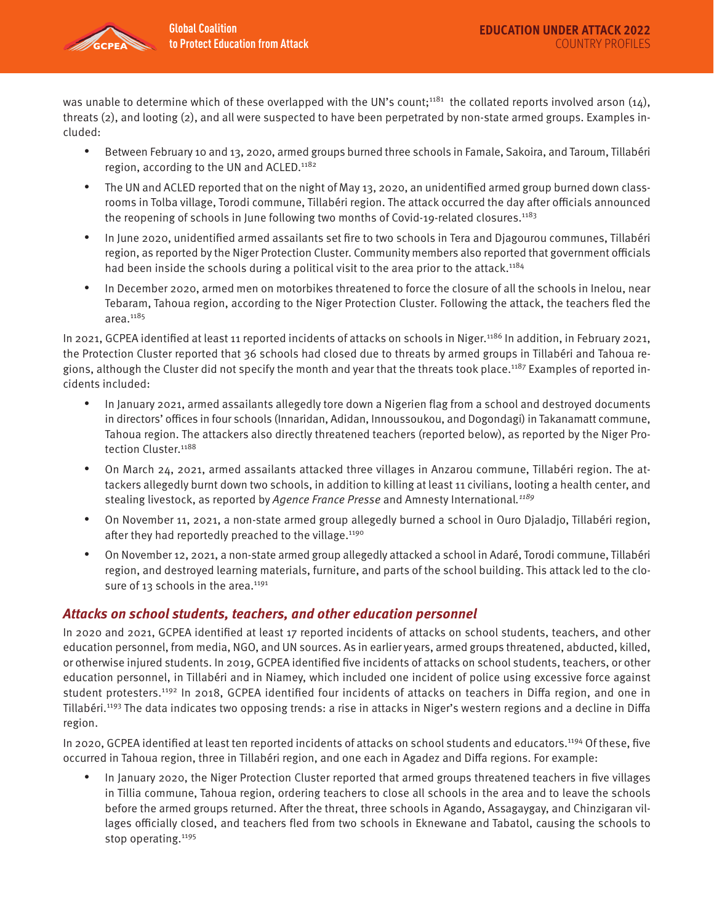

was unable to determine which of these overlapped with the UN's count;<sup>1181</sup> the collated reports involved arson (14), threats (2), and looting (2), and all were suspected to have been perpetrated by non-state armed groups. Examples included:

- Between February 10 and 13, 2020, armed groups burned three schools in Famale, Sakoira, and Taroum, Tillabéri region, according to the UN and ACLED.<sup>1182</sup>
- The UN and ACLED reported that on the night of May 13, 2020, an unidentified armed group burned down classrooms in Tolba village, Torodi commune, Tillabéri region. The attack occurred the day after officials announced the reopening of schools in June following two months of Covid-19-related closures.<sup>1183</sup>
- In June 2020, unidentified armed assailants set fire to two schools in Tera and Djagourou communes, Tillabéri region, as reported by the Niger Protection Cluster. Community members also reported that government officials had been inside the schools during a political visit to the area prior to the attack.<sup>1184</sup>
- In December 2020, armed men on motorbikes threatened to force the closure of all the schools in Inelou, near Tebaram, Tahoua region, according to the Niger Protection Cluster. Following the attack, the teachers fled the area.<sup>1185</sup>

In 2021, GCPEA identified at least 11 reported incidents of attacks on schools in Niger.1186 In addition, in February 2021, the Protection Cluster reported that 36 schools had closed due to threats by armed groups in Tillabéri and Tahoua regions, although the Cluster did not specify the month and year that the threats took place.<sup>1187</sup> Examples of reported incidents included:

- In January 2021, armed assailants allegedly tore down a Nigerien flag from a school and destroyed documents in directors' offices in four schools (Innaridan, Adidan, Innoussoukou, and Dogondagi) in Takanamatt commune, Tahoua region. The attackers also directly threatened teachers (reported below), as reported by the Niger Protection Cluster.<sup>1188</sup>
- On March 24, 2021, armed assailants attacked three villages in Anzarou commune, Tillabéri region. The attackers allegedly burnt down two schools, in addition to killing at least 11 civilians, looting a health center, and stealing livestock, as reported by Agence France Presse and Amnesty International.<sup>1189</sup>
- On November 11, 2021, a non-state armed group allegedly burned a school in Ouro Djaladjo, Tillabéri region, after they had reportedly preached to the village. $1190$
- On November 12, 2021, a non-state armed group allegedly attacked a school in Adaré, Torodi commune, Tillabéri region, and destroyed learning materials, furniture, and parts of the school building. This attack led to the closure of 13 schools in the area. $1191$

### **Attacks on school students, teachers, and other education personnel**

In 2020 and 2021, GCPEA identified at least 17 reported incidents of attacks on school students, teachers, and other education personnel, from media, NGO, and UN sources. As in earlier years, armed groups threatened, abducted, killed, or otherwise injured students. In 2019, GCPEA identified five incidents of attacks on school students, teachers, or other education personnel, in Tillabéri and in Niamey, which included one incident of police using excessive force against student protesters.1192 In 2018, GCPEA identified four incidents of attacks on teachers in Diffa region, and one in Tillabéri.<sup>1193</sup> The data indicates two opposing trends: a rise in attacks in Niger's western regions and a decline in Diffa region.

In 2020, GCPEA identified at least ten reported incidents of attacks on school students and educators.<sup>1194</sup> Of these, five occurred in Tahoua region, three in Tillabéri region, and one each in Agadez and Diffa regions. For example:

• In January 2020, the Niger Protection Cluster reported that armed groups threatened teachers in five villages in Tillia commune, Tahoua region, ordering teachers to close all schools in the area and to leave the schools before the armed groups returned. After the threat, three schools in Agando, Assagaygay, and Chinzigaran villages officially closed, and teachers fled from two schools in Eknewane and Tabatol, causing the schools to stop operating.<sup>1195</sup>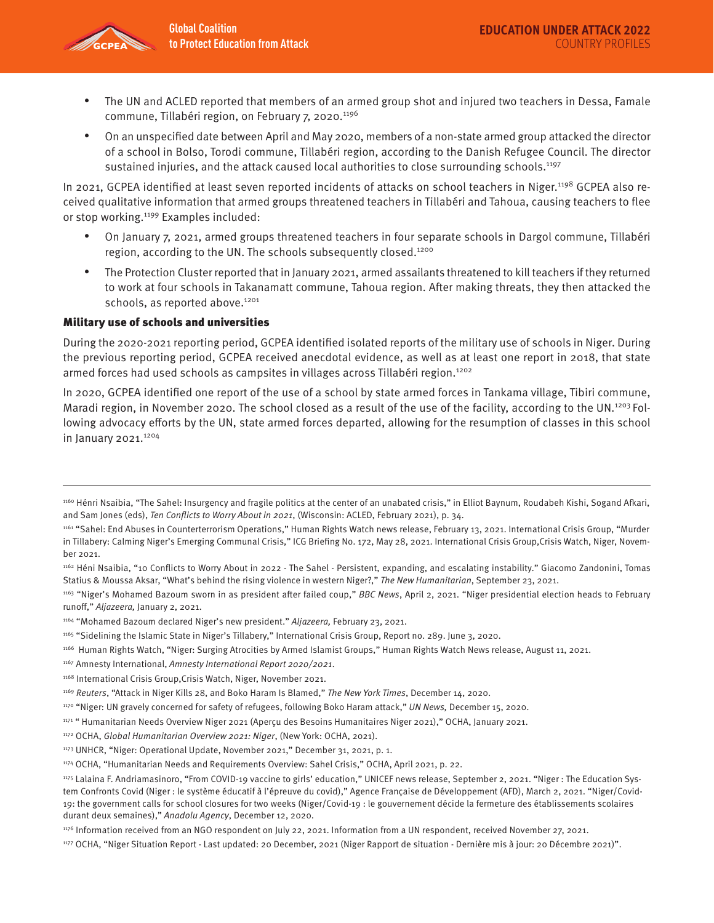

- The UN and ACLED reported that members of an armed group shot and injured two teachers in Dessa, Famale commune, Tillabéri region, on February 7, 2020.<sup>1196</sup>
- On an unspecified date between April and May 2020, members of a non-state armed group attacked the director of a school in Bolso, Torodi commune, Tillabéri region, according to the Danish Refugee Council. The director sustained injuries, and the attack caused local authorities to close surrounding schools.<sup>1197</sup>

In 2021, GCPEA identified at least seven reported incidents of attacks on school teachers in Niger.<sup>1198</sup> GCPEA also received qualitative information that armed groups threatened teachers in Tillabéri and Tahoua, causing teachers to flee or stop working.<sup>1199</sup> Examples included:

- On January 7, 2021, armed groups threatened teachers in four separate schools in Dargol commune, Tillabéri region, according to the UN. The schools subsequently closed.<sup>1200</sup>
- The Protection Cluster reported that in January 2021, armed assailants threatened to kill teachers if they returned to work at four schools in Takanamatt commune, Tahoua region. After making threats, they then attacked the schools, as reported above.<sup>1201</sup>

#### Military use of schools and universities

During the 2020-2021 reporting period, GCPEA identified isolated reports of the military use of schools in Niger. During the previous reporting period, GCPEA received anecdotal evidence, as well as at least one report in 2018, that state armed forces had used schools as campsites in villages across Tillabéri region.1202

In 2020, GCPEA identified one report of the use of a school by state armed forces in Tankama village, Tibiri commune, Maradi region, in November 2020. The school closed as a result of the use of the facility, according to the UN.<sup>1203</sup> Following advocacy efforts by the UN, state armed forces departed, allowing for the resumption of classes in this school in January 2021.<sup>1204</sup>

<sup>1160</sup> Hénri Nsaibia, "The Sahel: Insurgency and fragile politics at the center of an unabated crisis," in Elliot Baynum, Roudabeh Kishi, Sogand Afkari, and Sam Jones (eds), Ten Conflicts to Worry About in 2021, (Wisconsin: ACLED, February 2021), p. 34.

<sup>1161 &</sup>quot;Sahel: End Abuses in Counterterrorism Operations," Human Rights Watch news release, February 13, 2021. International Crisis Group, "Murder in Tillabery: Calming Niger's Emerging Communal Crisis," ICG Briefing No. 172, May 28, 2021. International Crisis Group,Crisis Watch, Niger, November 2021.

<sup>1162</sup> Héni Nsaibia, "10 Conflicts to Worry About in 2022 - The Sahel - Persistent, expanding, and escalating instability." Giacomo Zandonini, Tomas Statius & Moussa Aksar, "What's behind the rising violence in western Niger?," The New Humanitarian, September 23, 2021.

<sup>1163 &</sup>quot;Niger's Mohamed Bazoum sworn in as president after failed coup," BBC News, April 2, 2021. "Niger presidential election heads to February runoff," Aljazeera, January 2, 2021.

<sup>1164 &</sup>quot;Mohamed Bazoum declared Niger's new president." Aljazeera, February 23, 2021.

<sup>1165 &</sup>quot;Sidelining the Islamic State in Niger's Tillabery," International Crisis Group, Report no. 289. June 3, 2020.

<sup>1166</sup> Human Rights Watch, "Niger: Surging Atrocities by Armed Islamist Groups," Human Rights Watch News release, August 11, 2021.

<sup>1167</sup> Amnesty International, Amnesty International Report 2020/2021.

<sup>1168</sup> International Crisis Group,Crisis Watch, Niger, November 2021.

<sup>1169</sup> Reuters, "Attack in Niger Kills 28, and Boko Haram Is Blamed," The New York Times, December 14, 2020.

<sup>&</sup>lt;sup>1170</sup> "Niger: UN gravely concerned for safety of refugees, following Boko Haram attack," UN News, December 15, 2020.

<sup>1171 &</sup>quot; Humanitarian Needs Overview Niger 2021 (Aperçu des Besoins Humanitaires Niger 2021)," OCHA, January 2021.

<sup>1172</sup> OCHA, Global Humanitarian Overview 2021: Niger, (New York: OCHA, 2021).

<sup>1173</sup> UNHCR, "Niger: Operational Update, November 2021," December 31, 2021, p. 1.

<sup>1174</sup> OCHA, "Humanitarian Needs and Requirements Overview: Sahel Crisis," OCHA, April 2021, p. 22.

<sup>1175</sup> Lalaina F. Andriamasinoro, "From COVID-19 vaccine to girls' education," UNICEF news release, September 2, 2021. "Niger : The Education System Confronts Covid (Niger : le système éducatif à l'épreuve du covid)," Agence Française de Développement (AFD), March 2, 2021. "Niger/Covid-19: the government calls for school closures for two weeks (Niger/Covid-19 : le gouvernement décide la fermeture des établissements scolaires durant deux semaines)," Anadolu Agency, December 12, 2020.

<sup>1176</sup> Information received from an NGO respondent on July 22, 2021. Information from a UN respondent, received November 27, 2021.

<sup>1177</sup> OCHA, "Niger Situation Report - Last updated: 20 December, 2021 (Niger Rapport de situation - Dernière mis à jour: 20 Décembre 2021)".